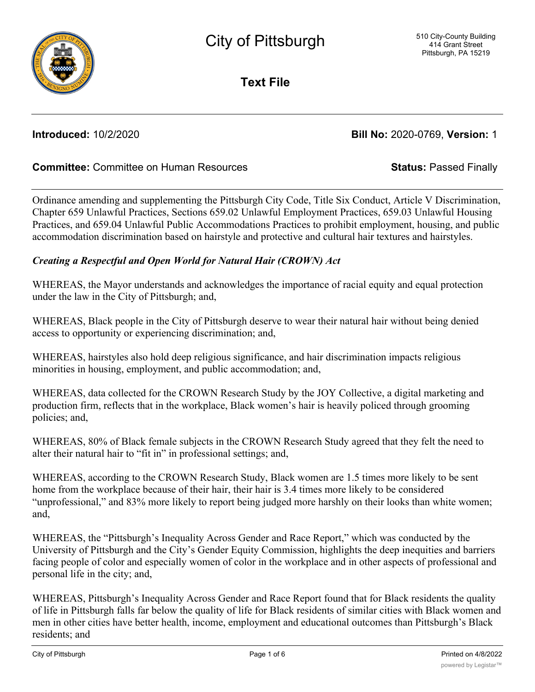

**Text File**

**Introduced:** 10/2/2020 **Bill No:** 2020-0769, **Version:** 1

# **Committee:** Committee on Human Resources **Status:** Passed Finally

Ordinance amending and supplementing the Pittsburgh City Code, Title Six Conduct, Article V Discrimination, Chapter 659 Unlawful Practices, Sections 659.02 Unlawful Employment Practices, 659.03 Unlawful Housing Practices, and 659.04 Unlawful Public Accommodations Practices to prohibit employment, housing, and public accommodation discrimination based on hairstyle and protective and cultural hair textures and hairstyles.

## *Creating a Respectful and Open World for Natural Hair (CROWN) Act*

WHEREAS, the Mayor understands and acknowledges the importance of racial equity and equal protection under the law in the City of Pittsburgh; and,

WHEREAS, Black people in the City of Pittsburgh deserve to wear their natural hair without being denied access to opportunity or experiencing discrimination; and,

WHEREAS, hairstyles also hold deep religious significance, and hair discrimination impacts religious minorities in housing, employment, and public accommodation; and,

WHEREAS, data collected for the CROWN Research Study by the JOY Collective, a digital marketing and production firm, reflects that in the workplace, Black women's hair is heavily policed through grooming policies; and,

WHEREAS, 80% of Black female subjects in the CROWN Research Study agreed that they felt the need to alter their natural hair to "fit in" in professional settings; and,

WHEREAS, according to the CROWN Research Study, Black women are 1.5 times more likely to be sent home from the workplace because of their hair, their hair is 3.4 times more likely to be considered "unprofessional," and 83% more likely to report being judged more harshly on their looks than white women; and,

WHEREAS, the "Pittsburgh's Inequality Across Gender and Race Report," which was conducted by the University of Pittsburgh and the City's Gender Equity Commission, highlights the deep inequities and barriers facing people of color and especially women of color in the workplace and in other aspects of professional and personal life in the city; and,

WHEREAS, Pittsburgh's Inequality Across Gender and Race Report found that for Black residents the quality of life in Pittsburgh falls far below the quality of life for Black residents of similar cities with Black women and men in other cities have better health, income, employment and educational outcomes than Pittsburgh's Black residents; and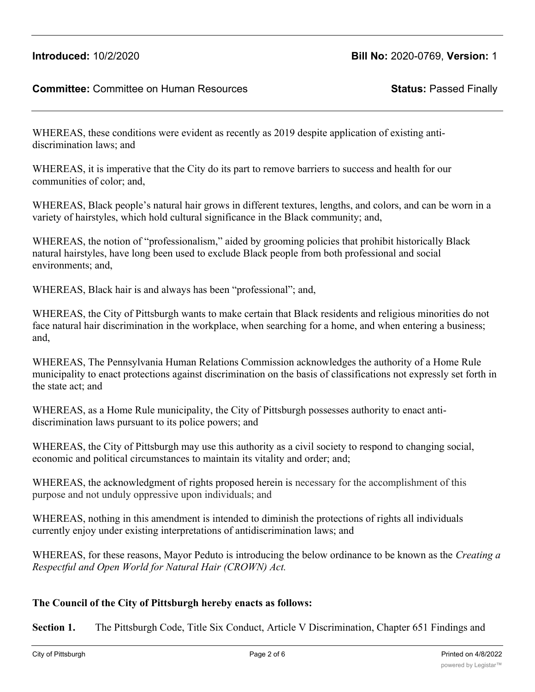WHEREAS, these conditions were evident as recently as 2019 despite application of existing antidiscrimination laws; and

WHEREAS, it is imperative that the City do its part to remove barriers to success and health for our communities of color; and,

WHEREAS, Black people's natural hair grows in different textures, lengths, and colors, and can be worn in a variety of hairstyles, which hold cultural significance in the Black community; and,

WHEREAS, the notion of "professionalism," aided by grooming policies that prohibit historically Black natural hairstyles, have long been used to exclude Black people from both professional and social environments; and,

WHEREAS, Black hair is and always has been "professional"; and,

WHEREAS, the City of Pittsburgh wants to make certain that Black residents and religious minorities do not face natural hair discrimination in the workplace, when searching for a home, and when entering a business; and,

WHEREAS, The Pennsylvania Human Relations Commission acknowledges the authority of a Home Rule municipality to enact protections against discrimination on the basis of classifications not expressly set forth in the state act; and

WHEREAS, as a Home Rule municipality, the City of Pittsburgh possesses authority to enact antidiscrimination laws pursuant to its police powers; and

WHEREAS, the City of Pittsburgh may use this authority as a civil society to respond to changing social, economic and political circumstances to maintain its vitality and order; and;

WHEREAS, the acknowledgment of rights proposed herein is necessary for the accomplishment of this purpose and not unduly oppressive upon individuals; and

WHEREAS, nothing in this amendment is intended to diminish the protections of rights all individuals currently enjoy under existing interpretations of antidiscrimination laws; and

WHEREAS, for these reasons, Mayor Peduto is introducing the below ordinance to be known as the *Creating a Respectful and Open World for Natural Hair (CROWN) Act.*

# **The Council of the City of Pittsburgh hereby enacts as follows:**

**Section 1.** The Pittsburgh Code, Title Six Conduct, Article V Discrimination, Chapter 651 Findings and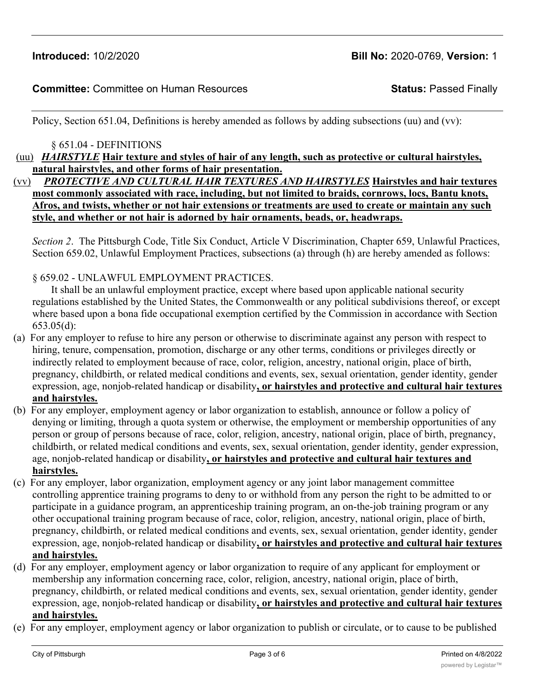Policy, Section 651.04, Definitions is hereby amended as follows by adding subsections (uu) and (vv):

§ 651.04 - DEFINITIONS

(uu) *HAIRSTYLE* **Hair texture and styles of hair of any length, such as protective or cultural hairstyles, natural hairstyles, and other forms of hair presentation.**

(vv) *PROTECTIVE AND CULTURAL HAIR TEXTURES AND HAIRSTYLES* **Hairstyles and hair textures most commonly associated with race, including, but not limited to braids, cornrows, locs, Bantu knots, Afros, and twists, whether or not hair extensions or treatments are used to create or maintain any such style, and whether or not hair is adorned by hair ornaments, beads, or, headwraps.**

*Section 2*. The Pittsburgh Code, Title Six Conduct, Article V Discrimination, Chapter 659, Unlawful Practices, Section 659.02, Unlawful Employment Practices, subsections (a) through (h) are hereby amended as follows:

§ 659.02 - UNLAWFUL EMPLOYMENT PRACTICES.

It shall be an unlawful employment practice, except where based upon applicable national security regulations established by the United States, the Commonwealth or any political subdivisions thereof, or except where based upon a bona fide occupational exemption certified by the Commission in accordance with Section 653.05(d):

- (a) For any employer to refuse to hire any person or otherwise to discriminate against any person with respect to hiring, tenure, compensation, promotion, discharge or any other terms, conditions or privileges directly or indirectly related to employment because of race, color, religion, ancestry, national origin, place of birth, pregnancy, childbirth, or related medical conditions and events, sex, sexual orientation, gender identity, gender expression, age, nonjob-related handicap or disability**, or hairstyles and protective and cultural hair textures and hairstyles.**
- (b) For any employer, employment agency or labor organization to establish, announce or follow a policy of denying or limiting, through a quota system or otherwise, the employment or membership opportunities of any person or group of persons because of race, color, religion, ancestry, national origin, place of birth, pregnancy, childbirth, or related medical conditions and events, sex, sexual orientation, gender identity, gender expression, age, nonjob-related handicap or disability**, or hairstyles and protective and cultural hair textures and hairstyles.**
- (c) For any employer, labor organization, employment agency or any joint labor management committee controlling apprentice training programs to deny to or withhold from any person the right to be admitted to or participate in a guidance program, an apprenticeship training program, an on-the-job training program or any other occupational training program because of race, color, religion, ancestry, national origin, place of birth, pregnancy, childbirth, or related medical conditions and events, sex, sexual orientation, gender identity, gender expression, age, nonjob-related handicap or disability**, or hairstyles and protective and cultural hair textures and hairstyles.**
- (d) For any employer, employment agency or labor organization to require of any applicant for employment or membership any information concerning race, color, religion, ancestry, national origin, place of birth, pregnancy, childbirth, or related medical conditions and events, sex, sexual orientation, gender identity, gender expression, age, nonjob-related handicap or disability**, or hairstyles and protective and cultural hair textures and hairstyles.**
- (e) For any employer, employment agency or labor organization to publish or circulate, or to cause to be published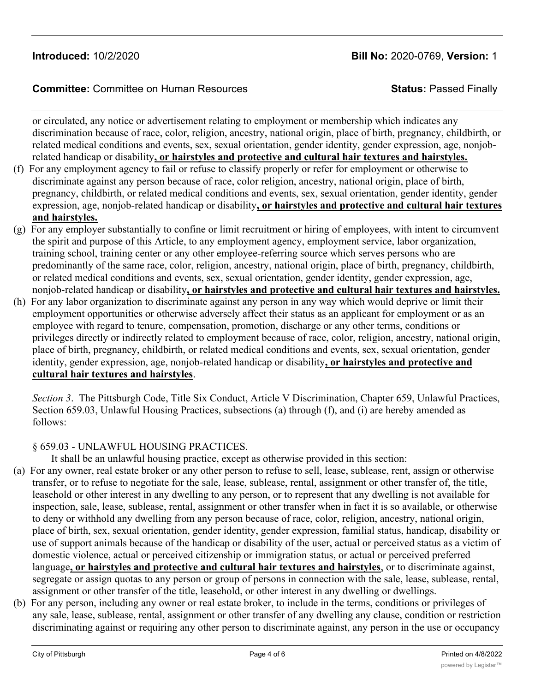or circulated, any notice or advertisement relating to employment or membership which indicates any discrimination because of race, color, religion, ancestry, national origin, place of birth, pregnancy, childbirth, or related medical conditions and events, sex, sexual orientation, gender identity, gender expression, age, nonjobrelated handicap or disability**, or hairstyles and protective and cultural hair textures and hairstyles.**

- (f) For any employment agency to fail or refuse to classify properly or refer for employment or otherwise to discriminate against any person because of race, color religion, ancestry, national origin, place of birth, pregnancy, childbirth, or related medical conditions and events, sex, sexual orientation, gender identity, gender expression, age, nonjob-related handicap or disability**, or hairstyles and protective and cultural hair textures and hairstyles.**
- (g) For any employer substantially to confine or limit recruitment or hiring of employees, with intent to circumvent the spirit and purpose of this Article, to any employment agency, employment service, labor organization, training school, training center or any other employee-referring source which serves persons who are predominantly of the same race, color, religion, ancestry, national origin, place of birth, pregnancy, childbirth, or related medical conditions and events, sex, sexual orientation, gender identity, gender expression, age, nonjob-related handicap or disability**, or hairstyles and protective and cultural hair textures and hairstyles.**
- (h) For any labor organization to discriminate against any person in any way which would deprive or limit their employment opportunities or otherwise adversely affect their status as an applicant for employment or as an employee with regard to tenure, compensation, promotion, discharge or any other terms, conditions or privileges directly or indirectly related to employment because of race, color, religion, ancestry, national origin, place of birth, pregnancy, childbirth, or related medical conditions and events, sex, sexual orientation, gender identity, gender expression, age, nonjob-related handicap or disability**, or hairstyles and protective and cultural hair textures and hairstyles**.

*Section 3*. The Pittsburgh Code, Title Six Conduct, Article V Discrimination, Chapter 659, Unlawful Practices, Section 659.03, Unlawful Housing Practices, subsections (a) through (f), and (i) are hereby amended as follows:

#### § 659.03 - UNLAWFUL HOUSING PRACTICES.

It shall be an unlawful housing practice, except as otherwise provided in this section:

- (a) For any owner, real estate broker or any other person to refuse to sell, lease, sublease, rent, assign or otherwise transfer, or to refuse to negotiate for the sale, lease, sublease, rental, assignment or other transfer of, the title, leasehold or other interest in any dwelling to any person, or to represent that any dwelling is not available for inspection, sale, lease, sublease, rental, assignment or other transfer when in fact it is so available, or otherwise to deny or withhold any dwelling from any person because of race, color, religion, ancestry, national origin, place of birth, sex, sexual orientation, gender identity, gender expression, familial status, handicap, disability or use of support animals because of the handicap or disability of the user, actual or perceived status as a victim of domestic violence, actual or perceived citizenship or immigration status, or actual or perceived preferred language**, or hairstyles and protective and cultural hair textures and hairstyles**, or to discriminate against, segregate or assign quotas to any person or group of persons in connection with the sale, lease, sublease, rental, assignment or other transfer of the title, leasehold, or other interest in any dwelling or dwellings.
- (b) For any person, including any owner or real estate broker, to include in the terms, conditions or privileges of any sale, lease, sublease, rental, assignment or other transfer of any dwelling any clause, condition or restriction discriminating against or requiring any other person to discriminate against, any person in the use or occupancy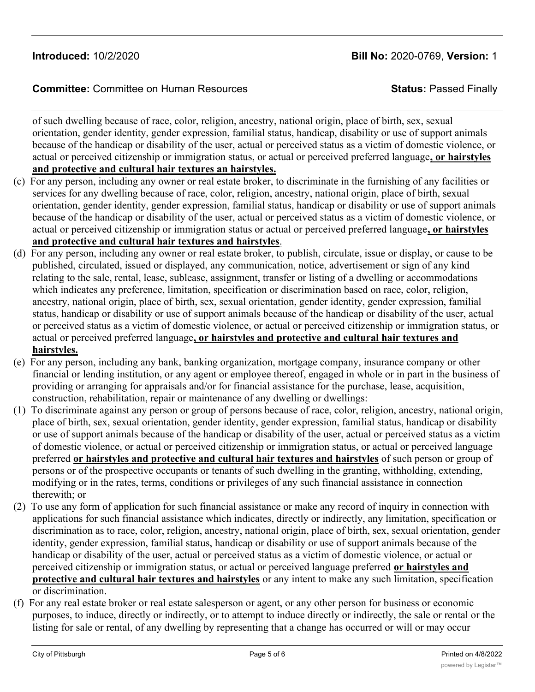of such dwelling because of race, color, religion, ancestry, national origin, place of birth, sex, sexual orientation, gender identity, gender expression, familial status, handicap, disability or use of support animals because of the handicap or disability of the user, actual or perceived status as a victim of domestic violence, or actual or perceived citizenship or immigration status, or actual or perceived preferred language**, or hairstyles and protective and cultural hair textures an hairstyles.**

- (c) For any person, including any owner or real estate broker, to discriminate in the furnishing of any facilities or services for any dwelling because of race, color, religion, ancestry, national origin, place of birth, sexual orientation, gender identity, gender expression, familial status, handicap or disability or use of support animals because of the handicap or disability of the user, actual or perceived status as a victim of domestic violence, or actual or perceived citizenship or immigration status or actual or perceived preferred language**, or hairstyles and protective and cultural hair textures and hairstyles**.
- (d) For any person, including any owner or real estate broker, to publish, circulate, issue or display, or cause to be published, circulated, issued or displayed, any communication, notice, advertisement or sign of any kind relating to the sale, rental, lease, sublease, assignment, transfer or listing of a dwelling or accommodations which indicates any preference, limitation, specification or discrimination based on race, color, religion, ancestry, national origin, place of birth, sex, sexual orientation, gender identity, gender expression, familial status, handicap or disability or use of support animals because of the handicap or disability of the user, actual or perceived status as a victim of domestic violence, or actual or perceived citizenship or immigration status, or actual or perceived preferred language**, or hairstyles and protective and cultural hair textures and hairstyles.**
- (e) For any person, including any bank, banking organization, mortgage company, insurance company or other financial or lending institution, or any agent or employee thereof, engaged in whole or in part in the business of providing or arranging for appraisals and/or for financial assistance for the purchase, lease, acquisition, construction, rehabilitation, repair or maintenance of any dwelling or dwellings:
- (1) To discriminate against any person or group of persons because of race, color, religion, ancestry, national origin, place of birth, sex, sexual orientation, gender identity, gender expression, familial status, handicap or disability or use of support animals because of the handicap or disability of the user, actual or perceived status as a victim of domestic violence, or actual or perceived citizenship or immigration status, or actual or perceived language preferred **or hairstyles and protective and cultural hair textures and hairstyles** of such person or group of persons or of the prospective occupants or tenants of such dwelling in the granting, withholding, extending, modifying or in the rates, terms, conditions or privileges of any such financial assistance in connection therewith; or
- (2) To use any form of application for such financial assistance or make any record of inquiry in connection with applications for such financial assistance which indicates, directly or indirectly, any limitation, specification or discrimination as to race, color, religion, ancestry, national origin, place of birth, sex, sexual orientation, gender identity, gender expression, familial status, handicap or disability or use of support animals because of the handicap or disability of the user, actual or perceived status as a victim of domestic violence, or actual or perceived citizenship or immigration status, or actual or perceived language preferred **or hairstyles and protective and cultural hair textures and hairstyles** or any intent to make any such limitation, specification or discrimination.
- (f) For any real estate broker or real estate salesperson or agent, or any other person for business or economic purposes, to induce, directly or indirectly, or to attempt to induce directly or indirectly, the sale or rental or the listing for sale or rental, of any dwelling by representing that a change has occurred or will or may occur